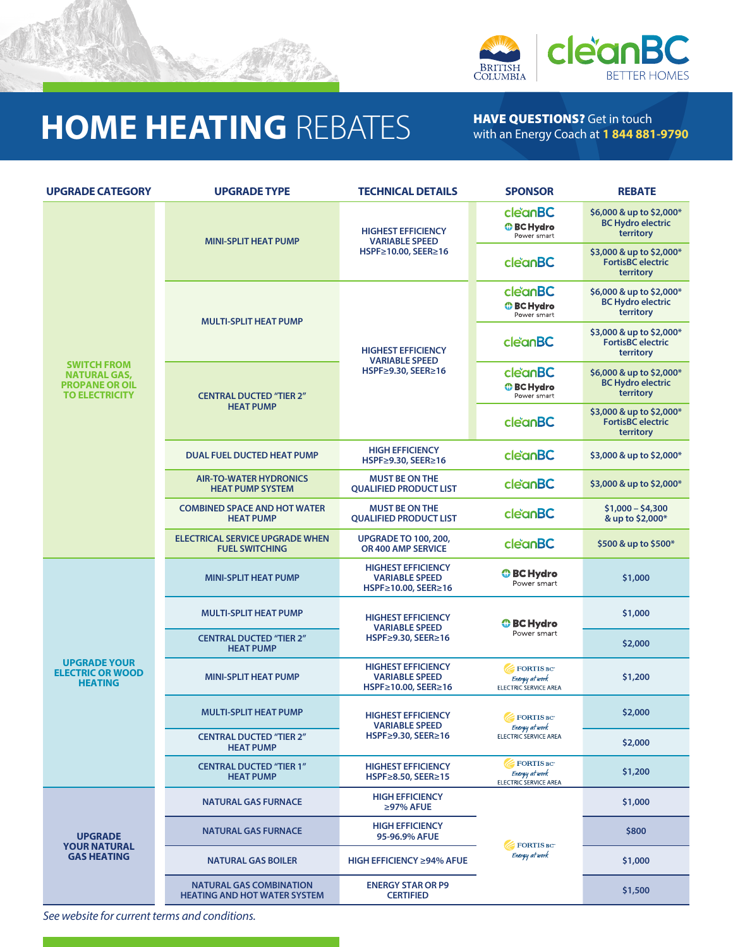

## **HOME HEATING** REBATES HAVE QUESTIONS? Get in touch

with an Energy Coach at **1 844 881-9790**

| <b>UPGRADE CATEGORY</b>                                                                     | <b>UPGRADE TYPE</b>                                                   | <b>TECHNICAL DETAILS</b>                                                  | <b>SPONSOR</b>                                              | <b>REBATE</b>                                                     |
|---------------------------------------------------------------------------------------------|-----------------------------------------------------------------------|---------------------------------------------------------------------------|-------------------------------------------------------------|-------------------------------------------------------------------|
| <b>SWITCH FROM</b><br><b>NATURAL GAS,</b><br><b>PROPANE OR OIL</b><br><b>TO ELECTRICITY</b> | <b>MINI-SPLIT HEAT PUMP</b>                                           | <b>HIGHEST EFFICIENCY</b><br><b>VARIABLE SPEED</b><br>HSPF≥10.00, SEER≥16 | cleanBC<br><b>O</b> BC Hydro<br>Power smart                 | \$6,000 & up to \$2,000*<br><b>BC Hydro electric</b><br>territory |
|                                                                                             |                                                                       |                                                                           | cleanBC                                                     | \$3,000 & up to \$2,000*<br><b>FortisBC</b> electric<br>territory |
|                                                                                             | <b>MULTI-SPLIT HEAT PUMP</b>                                          | <b>HIGHEST EFFICIENCY</b><br><b>VARIABLE SPEED</b><br>HSPF≥9.30, SEER≥16  | cleanBC<br><b><i>O</i></b> BC Hydro<br>Power smart          | \$6,000 & up to \$2,000*<br><b>BC Hydro electric</b><br>territory |
|                                                                                             |                                                                       |                                                                           | cleanBC                                                     | \$3,000 & up to \$2,000*<br><b>FortisBC</b> electric<br>territory |
|                                                                                             | <b>CENTRAL DUCTED "TIER 2"</b><br><b>HEAT PUMP</b>                    |                                                                           | cleanBC<br><b><i>O</i></b> BC Hydro<br>Power smart          | \$6,000 & up to \$2,000*<br><b>BC Hydro electric</b><br>territory |
|                                                                                             |                                                                       |                                                                           | cleanBC                                                     | \$3,000 & up to \$2,000*<br><b>FortisBC</b> electric<br>territory |
|                                                                                             | <b>DUAL FUEL DUCTED HEAT PUMP</b>                                     | <b>HIGH EFFICIENCY</b><br>HSPF≥9.30, SEER≥16                              | cleanBC                                                     | \$3,000 & up to \$2,000*                                          |
|                                                                                             | <b>AIR-TO-WATER HYDRONICS</b><br><b>HEAT PUMP SYSTEM</b>              | <b>MUST BE ON THE</b><br><b>QUALIFIED PRODUCT LIST</b>                    | cleanBC                                                     | \$3,000 & up to \$2,000*                                          |
|                                                                                             | <b>COMBINED SPACE AND HOT WATER</b><br><b>HEAT PUMP</b>               | <b>MUST BE ON THE</b><br><b>QUALIFIED PRODUCT LIST</b>                    | cleanBC                                                     | \$1,000 - \$4,300<br>& up to \$2,000*                             |
|                                                                                             | <b>ELECTRICAL SERVICE UPGRADE WHEN</b><br><b>FUEL SWITCHING</b>       | <b>UPGRADE TO 100, 200,</b><br>OR 400 AMP SERVICE                         | cleanBC                                                     | \$500 & up to \$500*                                              |
| <b>UPGRADE YOUR</b><br><b>ELECTRIC OR WOOD</b><br><b>HEATING</b>                            | <b>MINI-SPLIT HEAT PUMP</b>                                           | <b>HIGHEST EFFICIENCY</b><br><b>VARIABLE SPEED</b><br>HSPF≥10.00, SEER≥16 | <b>O</b> BC Hydro<br>Power smart                            | \$1,000                                                           |
|                                                                                             | <b>MULTI-SPLIT HEAT PUMP</b>                                          | <b>HIGHEST EFFICIENCY</b><br><b>VARIABLE SPEED</b><br>HSPF≥9.30, SEER≥16  | <b>O</b> BC Hydro<br>Power smart                            | \$1,000                                                           |
|                                                                                             | <b>CENTRAL DUCTED "TIER 2"</b><br><b>HEAT PUMP</b>                    |                                                                           |                                                             | \$2,000                                                           |
|                                                                                             | <b>MINI-SPLIT HEAT PUMP</b>                                           | <b>HIGHEST EFFICIENCY</b><br><b>VARIABLE SPEED</b><br>HSPF≥10.00, SEER≥16 | FORTIS BC<br>Energy at work<br><b>ELECTRIC SERVICE AREA</b> | \$1,200                                                           |
|                                                                                             | <b>MULTI-SPLIT HEAT PUMP</b>                                          | <b>HIGHEST EFFICIENCY</b><br><b>VARIABLE SPEED</b>                        | <b>FORTIS BC</b><br>Energy at work<br>ELECTRIC SERVICE AREA | \$2,000                                                           |
|                                                                                             | <b>CENTRAL DUCTED "TIER 2"</b><br><b>HEAT PUMP</b>                    | HSPF≥9.30, SEER≥16                                                        |                                                             | \$2,000                                                           |
|                                                                                             | <b>CENTRAL DUCTED "TIER 1"</b><br><b>HEAT PUMP</b>                    | <b>HIGHEST EFFICIENCY</b><br>HSPF≥8.50, SEER≥15                           | <b>FORTIS BC</b><br>Energy at work<br>ELECTRIC SERVICE AREA | \$1,200                                                           |
| <b>UPGRADE</b><br><b>YOUR NATURAL</b><br><b>GAS HEATING</b>                                 | <b>NATURAL GAS FURNACE</b>                                            | <b>HIGH EFFICIENCY</b><br>≥97% AFUE                                       | FORTIS BC<br>Energy at work                                 | \$1,000                                                           |
|                                                                                             | <b>NATURAL GAS FURNACE</b>                                            | <b>HIGH EFFICIENCY</b><br>95-96.9% AFUE                                   |                                                             | \$800                                                             |
|                                                                                             | <b>NATURAL GAS BOILER</b>                                             | <b>HIGH EFFICIENCY ≥94% AFUE</b>                                          |                                                             | \$1,000                                                           |
|                                                                                             | <b>NATURAL GAS COMBINATION</b><br><b>HEATING AND HOT WATER SYSTEM</b> | <b>ENERGY STAR OR P9</b><br><b>CERTIFIED</b>                              |                                                             | \$1,500                                                           |

*See website for current terms and conditions.*